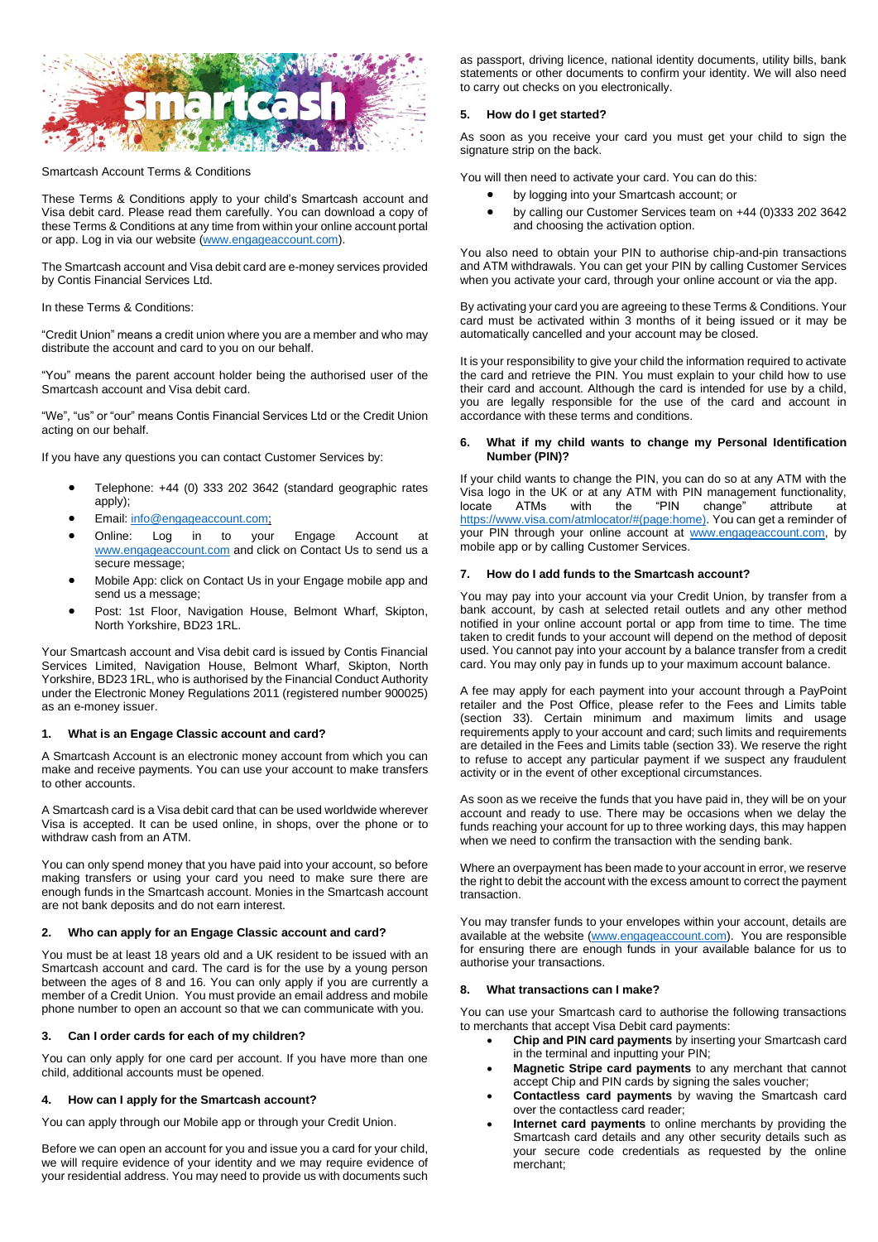

### Smartcash Account Terms & Conditions

These Terms & Conditions apply to your child's Smartcash account and Visa debit card. Please read them carefully. You can download a copy of these Terms & Conditions at any time from within your online account portal or app. Log in via our website [\(www.engageaccount.com\)](http://www.engageaccount.com/).

The Smartcash account and Visa debit card are e-money services provided by Contis Financial Services Ltd.

In these Terms & Conditions:

"Credit Union" means a credit union where you are a member and who may distribute the account and card to you on our behalf.

"You" means the parent account holder being the authorised user of the Smartcash account and Visa debit card.

"We", "us" or "our" means Contis Financial Services Ltd or the Credit Union acting on our behalf.

If you have any questions you can contact Customer Services by:

- Telephone: +44 (0) 333 202 3642 (standard geographic rates apply);
- Email: [info@engageaccount.com;](mailto:info@engageaccount.com)
- Online: Log in to your Engage Account at [www.engageaccount.com](http://www.engageaccount.com/) and click on Contact Us to send us a secure message;
- Mobile App: click on Contact Us in your Engage mobile app and send us a message;
- Post: 1st Floor, Navigation House, Belmont Wharf, Skipton, North Yorkshire, BD23 1RL.

Your Smartcash account and Visa debit card is issued by Contis Financial Services Limited, Navigation House, Belmont Wharf, Skipton, North Yorkshire, BD23 1RL, who is authorised by the Financial Conduct Authority under the Electronic Money Regulations 2011 (registered number 900025) as an e-money issuer.

## **1. What is an Engage Classic account and card?**

A Smartcash Account is an electronic money account from which you can make and receive payments. You can use your account to make transfers to other accounts.

A Smartcash card is a Visa debit card that can be used worldwide wherever Visa is accepted. It can be used online, in shops, over the phone or to withdraw cash from an ATM.

You can only spend money that you have paid into your account, so before making transfers or using your card you need to make sure there are enough funds in the Smartcash account. Monies in the Smartcash account are not bank deposits and do not earn interest.

### **2. Who can apply for an Engage Classic account and card?**

You must be at least 18 years old and a UK resident to be issued with an Smartcash account and card. The card is for the use by a young person between the ages of 8 and 16. You can only apply if you are currently a member of a Credit Union. You must provide an email address and mobile phone number to open an account so that we can communicate with you.

## **3. Can I order cards for each of my children?**

You can only apply for one card per account. If you have more than one child, additional accounts must be opened.

## **4. How can I apply for the Smartcash account?**

You can apply through our Mobile app or through your Credit Union.

Before we can open an account for you and issue you a card for your child, we will require evidence of your identity and we may require evidence of your residential address. You may need to provide us with documents such as passport, driving licence, national identity documents, utility bills, bank statements or other documents to confirm your identity. We will also need to carry out checks on you electronically.

### **5. How do I get started?**

As soon as you receive your card you must get your child to sign the signature strip on the back.

You will then need to activate your card. You can do this:

- by logging into your Smartcash account; or
- by calling our Customer Services team on +44 (0)333 202 3642 and choosing the activation option.

You also need to obtain your PIN to authorise chip-and-pin transactions and ATM withdrawals. You can get your PIN by calling Customer Services when you activate your card, through your online account or via the app.

By activating your card you are agreeing to these Terms & Conditions. Your card must be activated within 3 months of it being issued or it may be automatically cancelled and your account may be closed.

It is your responsibility to give your child the information required to activate the card and retrieve the PIN. You must explain to your child how to use their card and account. Although the card is intended for use by a child, you are legally responsible for the use of the card and account in accordance with these terms and conditions.

### **6. What if my child wants to change my Personal Identification Number (PIN)?**

If your child wants to change the PIN, you can do so at any ATM with the Visa logo in the UK or at any ATM with PIN management functionality,<br>locate ATMs with the "PIN change" attribute at attribute at [https://www.visa.com/atmlocator/#\(page:home\).](https://www.visa.com/atmlocator/#(page:home)) You can get a reminder of your PIN through your online account at [www.engageaccount.com,](http://www.engageaccount.com/) by mobile app or by calling Customer Services.

### **7. How do I add funds to the Smartcash account?**

You may pay into your account via your Credit Union, by transfer from a bank account, by cash at selected retail outlets and any other method notified in your online account portal or app from time to time. The time taken to credit funds to your account will depend on the method of deposit used. You cannot pay into your account by a balance transfer from a credit card. You may only pay in funds up to your maximum account balance.

A fee may apply for each payment into your account through a PayPoint retailer and the Post Office, please refer to the Fees and Limits table (section 33). Certain minimum and maximum limits and usage requirements apply to your account and card; such limits and requirements are detailed in the Fees and Limits table (section 33). We reserve the right to refuse to accept any particular payment if we suspect any fraudulent activity or in the event of other exceptional circumstances.

As soon as we receive the funds that you have paid in, they will be on your account and ready to use. There may be occasions when we delay the funds reaching your account for up to three working days, this may happen when we need to confirm the transaction with the sending bank.

Where an overpayment has been made to your account in error, we reserve the right to debit the account with the excess amount to correct the payment transaction.

You may transfer funds to your envelopes within your account, details are available at the website [\(www.engageaccount.com\)](http://www.engageaccount.com/). You are responsible for ensuring there are enough funds in your available balance for us to authorise your transactions.

## **8. What transactions can I make?**

You can use your Smartcash card to authorise the following transactions to merchants that accept Visa Debit card payments:

- **Chip and PIN card payments** by inserting your Smartcash card in the terminal and inputting your PIN;
- **Magnetic Stripe card payments** to any merchant that cannot accept Chip and PIN cards by signing the sales voucher;
- **Contactless card payments** by waving the Smartcash card over the contactless card reader;
- **Internet card payments** to online merchants by providing the Smartcash card details and any other security details such as your secure code credentials as requested by the online merchant;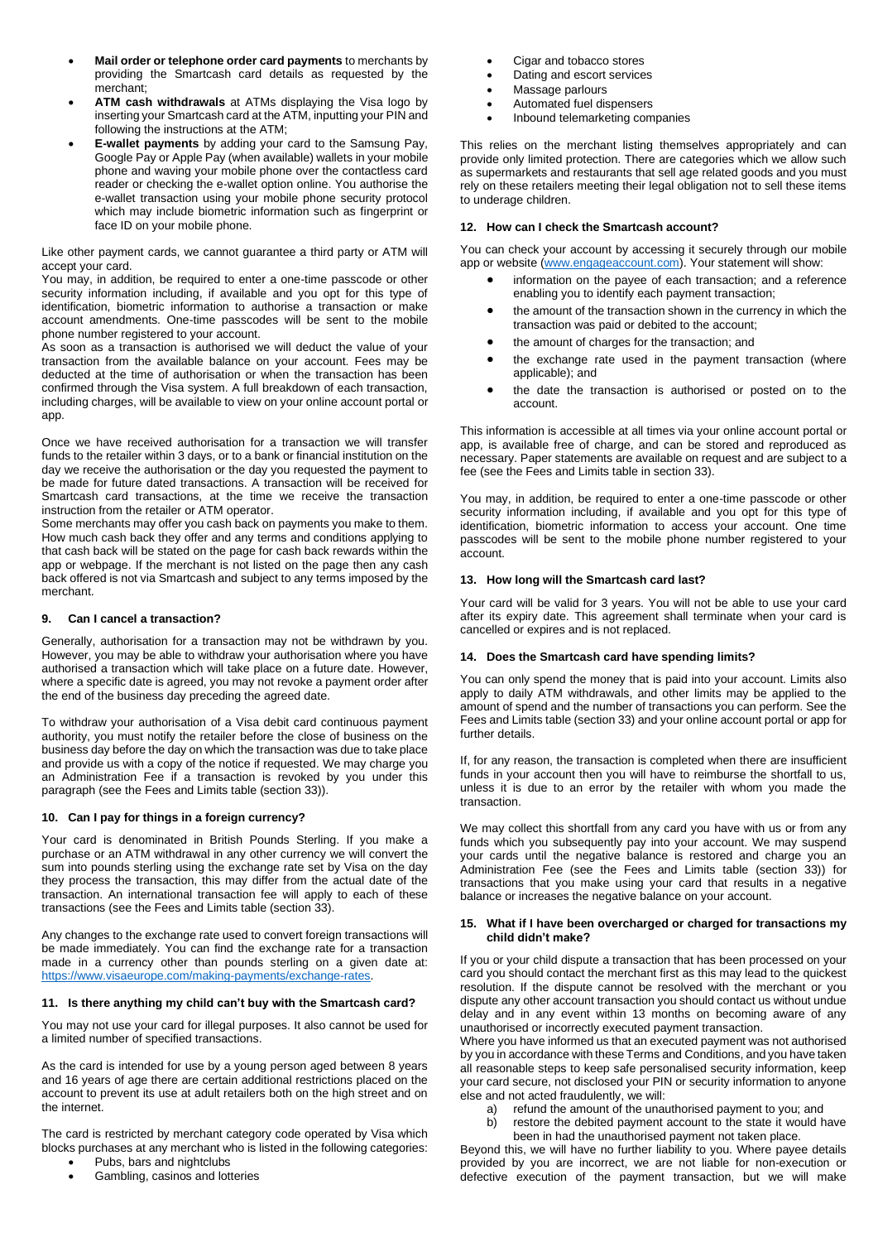- **Mail order or telephone order card payments** to merchants by providing the Smartcash card details as requested by the merchant;
- **ATM cash withdrawals** at ATMs displaying the Visa logo by inserting your Smartcash card at the ATM, inputting your PIN and following the instructions at the ATM;
- **E-wallet payments** by adding your card to the Samsung Pay, Google Pay or Apple Pay (when available) wallets in your mobile phone and waving your mobile phone over the contactless card reader or checking the e-wallet option online. You authorise the e-wallet transaction using your mobile phone security protocol which may include biometric information such as fingerprint or face ID on your mobile phone.

Like other payment cards, we cannot guarantee a third party or ATM will accept your card.

You may, in addition, be required to enter a one-time passcode or other security information including, if available and you opt for this type of identification, biometric information to authorise a transaction or make account amendments. One-time passcodes will be sent to the mobile phone number registered to your account.

As soon as a transaction is authorised we will deduct the value of your transaction from the available balance on your account. Fees may be deducted at the time of authorisation or when the transaction has been confirmed through the Visa system. A full breakdown of each transaction, including charges, will be available to view on your online account portal or app.

Once we have received authorisation for a transaction we will transfer funds to the retailer within 3 days, or to a bank or financial institution on the day we receive the authorisation or the day you requested the payment to be made for future dated transactions. A transaction will be received for Smartcash card transactions, at the time we receive the transaction instruction from the retailer or ATM operator.

Some merchants may offer you cash back on payments you make to them. How much cash back they offer and any terms and conditions applying to that cash back will be stated on the page for cash back rewards within the app or webpage. If the merchant is not listed on the page then any cash back offered is not via Smartcash and subject to any terms imposed by the merchant.

## **9. Can I cancel a transaction?**

Generally, authorisation for a transaction may not be withdrawn by you. However, you may be able to withdraw your authorisation where you have authorised a transaction which will take place on a future date. However, where a specific date is agreed, you may not revoke a payment order after the end of the business day preceding the agreed date.

To withdraw your authorisation of a Visa debit card continuous payment authority, you must notify the retailer before the close of business on the business day before the day on which the transaction was due to take place and provide us with a copy of the notice if requested. We may charge you an Administration Fee if a transaction is revoked by you under this paragraph (see the Fees and Limits table (section 33)).

## **10. Can I pay for things in a foreign currency?**

Your card is denominated in British Pounds Sterling. If you make a purchase or an ATM withdrawal in any other currency we will convert the sum into pounds sterling using the exchange rate set by Visa on the day they process the transaction, this may differ from the actual date of the transaction. An international transaction fee will apply to each of these transactions (see the Fees and Limits table (section 33).

Any changes to the exchange rate used to convert foreign transactions will be made immediately. You can find the exchange rate for a transaction made in a currency other than pounds sterling on a given date at: [https://www.visaeurope.com/making-payments/exchange-rates.](https://www.visaeurope.com/making-payments/exchange-rates)

## **11. Is there anything my child can't buy with the Smartcash card?**

You may not use your card for illegal purposes. It also cannot be used for a limited number of specified transactions.

As the card is intended for use by a young person aged between 8 years and 16 years of age there are certain additional restrictions placed on the account to prevent its use at adult retailers both on the high street and on the internet.

The card is restricted by merchant category code operated by Visa which blocks purchases at any merchant who is listed in the following categories:

Pubs, bars and nightclubs • Gambling, casinos and lotteries

- Cigar and tobacco stores
- Dating and escort services
- Massage parlours
- Automated fuel dispensers
- Inbound telemarketing companies

This relies on the merchant listing themselves appropriately and can provide only limited protection. There are categories which we allow such as supermarkets and restaurants that sell age related goods and you must rely on these retailers meeting their legal obligation not to sell these items to underage children.

## **12. How can I check the Smartcash account?**

You can check your account by accessing it securely through our mobile app or website [\(www.engageaccount.com\)](http://www.engageaccount.com/). Your statement will show:

- information on the payee of each transaction; and a reference enabling you to identify each payment transaction;
- the amount of the transaction shown in the currency in which the transaction was paid or debited to the account;
- the amount of charges for the transaction; and
- the exchange rate used in the payment transaction (where applicable); and
- the date the transaction is authorised or posted on to the account.

This information is accessible at all times via your online account portal or app, is available free of charge, and can be stored and reproduced as necessary. Paper statements are available on request and are subject to a fee (see the Fees and Limits table in section 33).

You may, in addition, be required to enter a one-time passcode or other security information including, if available and you opt for this type of identification, biometric information to access your account. One time passcodes will be sent to the mobile phone number registered to your account.

#### **13. How long will the Smartcash card last?**

Your card will be valid for 3 years. You will not be able to use your card after its expiry date. This agreement shall terminate when your card is cancelled or expires and is not replaced.

## **14. Does the Smartcash card have spending limits?**

You can only spend the money that is paid into your account. Limits also apply to daily ATM withdrawals, and other limits may be applied to the amount of spend and the number of transactions you can perform. See the Fees and Limits table (section 33) and your online account portal or app for further details.

If, for any reason, the transaction is completed when there are insufficient funds in your account then you will have to reimburse the shortfall to us, unless it is due to an error by the retailer with whom you made the transaction.

We may collect this shortfall from any card you have with us or from any funds which you subsequently pay into your account. We may suspend your cards until the negative balance is restored and charge you an Administration Fee (see the Fees and Limits table (section 33)) for transactions that you make using your card that results in a negative balance or increases the negative balance on your account.

#### **15. What if I have been overcharged or charged for transactions my child didn't make?**

If you or your child dispute a transaction that has been processed on your card you should contact the merchant first as this may lead to the quickest resolution. If the dispute cannot be resolved with the merchant or you dispute any other account transaction you should contact us without undue delay and in any event within 13 months on becoming aware of any unauthorised or incorrectly executed payment transaction.

Where you have informed us that an executed payment was not authorised by you in accordance with these Terms and Conditions, and you have taken all reasonable steps to keep safe personalised security information, keep your card secure, not disclosed your PIN or security information to anyone else and not acted fraudulently, we will:

- a) refund the amount of the unauthorised payment to you; and
- b) restore the debited payment account to the state it would have been in had the unauthorised payment not taken place.

Beyond this, we will have no further liability to you. Where payee details provided by you are incorrect, we are not liable for non-execution or defective execution of the payment transaction, but we will make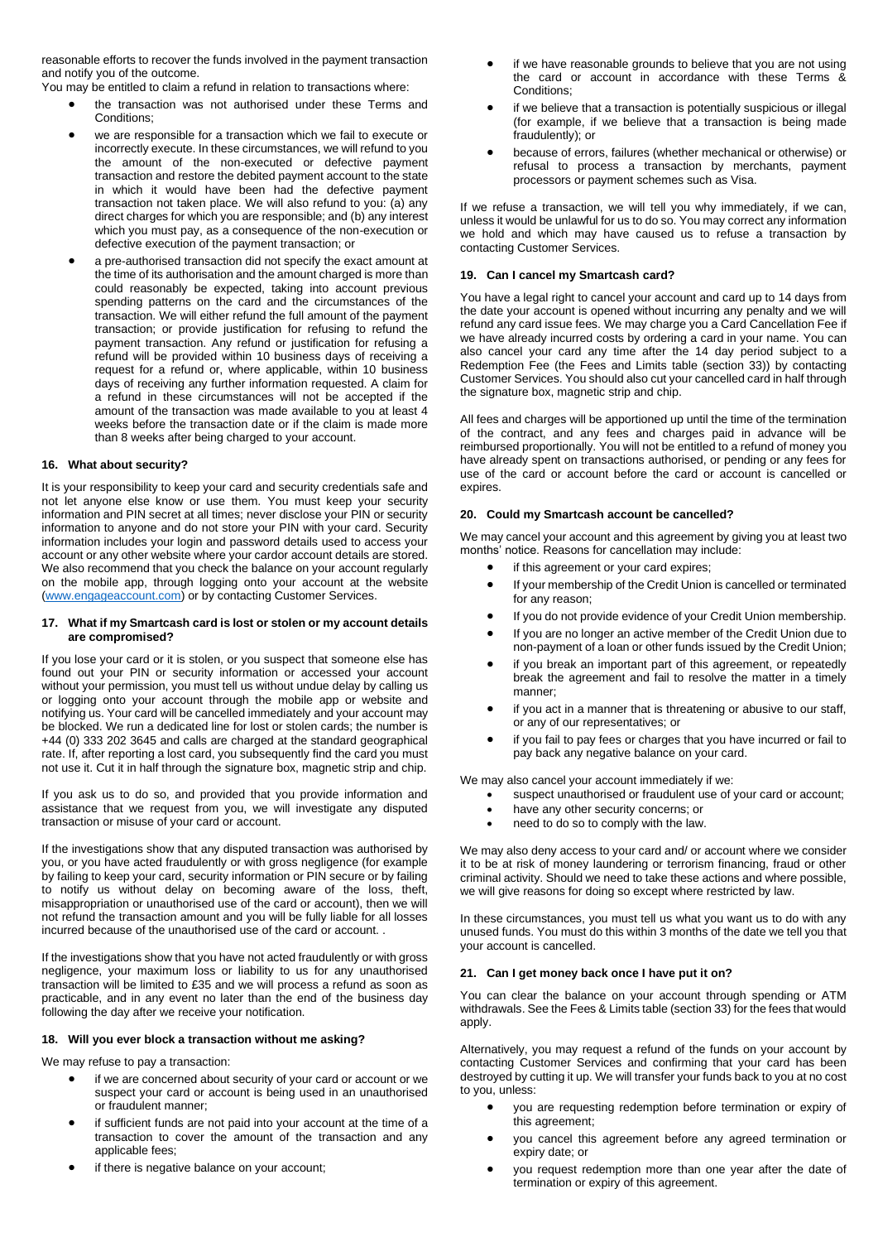reasonable efforts to recover the funds involved in the payment transaction and notify you of the outcome.

You may be entitled to claim a refund in relation to transactions where:

- the transaction was not authorised under these Terms and Conditions;
- we are responsible for a transaction which we fail to execute or incorrectly execute. In these circumstances, we will refund to you the amount of the non-executed or defective payment transaction and restore the debited payment account to the state in which it would have been had the defective payment transaction not taken place. We will also refund to you: (a) any direct charges for which you are responsible; and (b) any interest which you must pay, as a consequence of the non-execution or defective execution of the payment transaction; or
- a pre-authorised transaction did not specify the exact amount at the time of its authorisation and the amount charged is more than could reasonably be expected, taking into account previous spending patterns on the card and the circumstances of the transaction. We will either refund the full amount of the payment transaction; or provide justification for refusing to refund the payment transaction. Any refund or justification for refusing a refund will be provided within 10 business days of receiving a request for a refund or, where applicable, within 10 business days of receiving any further information requested. A claim for a refund in these circumstances will not be accepted if the amount of the transaction was made available to you at least 4 weeks before the transaction date or if the claim is made more than 8 weeks after being charged to your account.

## **16. What about security?**

It is your responsibility to keep your card and security credentials safe and not let anyone else know or use them. You must keep your security information and PIN secret at all times; never disclose your PIN or security information to anyone and do not store your PIN with your card. Security information includes your login and password details used to access your account or any other website where your cardor account details are stored. We also recommend that you check the balance on your account regularly on the mobile app, through logging onto your account at the website [\(www.engageaccount.com\)](http://www.engageaccount.com/) or by contacting Customer Services.

#### **17. What if my Smartcash card is lost or stolen or my account details are compromised?**

If you lose your card or it is stolen, or you suspect that someone else has found out your PIN or security information or accessed your account without your permission, you must tell us without undue delay by calling us or logging onto your account through the mobile app or website and notifying us. Your card will be cancelled immediately and your account may be blocked. We run a dedicated line for lost or stolen cards; the number is +44 (0) 333 202 3645 and calls are charged at the standard geographical rate. If, after reporting a lost card, you subsequently find the card you must not use it. Cut it in half through the signature box, magnetic strip and chip.

If you ask us to do so, and provided that you provide information and assistance that we request from you, we will investigate any disputed transaction or misuse of your card or account.

If the investigations show that any disputed transaction was authorised by you, or you have acted fraudulently or with gross negligence (for example by failing to keep your card, security information or PIN secure or by failing to notify us without delay on becoming aware of the loss, theft, misappropriation or unauthorised use of the card or account), then we will not refund the transaction amount and you will be fully liable for all losses incurred because of the unauthorised use of the card or account. .

If the investigations show that you have not acted fraudulently or with gross negligence, your maximum loss or liability to us for any unauthorised transaction will be limited to £35 and we will process a refund as soon as practicable, and in any event no later than the end of the business day following the day after we receive your notification.

## **18. Will you ever block a transaction without me asking?**

We may refuse to pay a transaction:

- if we are concerned about security of your card or account or we suspect your card or account is being used in an unauthorised or fraudulent manner;
- if sufficient funds are not paid into your account at the time of a transaction to cover the amount of the transaction and any applicable fees;
- if there is negative balance on your account;
- if we have reasonable grounds to believe that you are not using the card or account in accordance with these Terms & Conditions;
- if we believe that a transaction is potentially suspicious or illegal (for example, if we believe that a transaction is being made fraudulently); or
- because of errors, failures (whether mechanical or otherwise) or refusal to process a transaction by merchants, payment processors or payment schemes such as Visa.

If we refuse a transaction, we will tell you why immediately, if we can, unless it would be unlawful for us to do so. You may correct any information we hold and which may have caused us to refuse a transaction by contacting Customer Services.

#### **19. Can I cancel my Smartcash card?**

You have a legal right to cancel your account and card up to 14 days from the date your account is opened without incurring any penalty and we will refund any card issue fees. We may charge you a Card Cancellation Fee if we have already incurred costs by ordering a card in your name. You can also cancel your card any time after the 14 day period subject to a Redemption Fee (the Fees and Limits table (section 33)) by contacting Customer Services. You should also cut your cancelled card in half through the signature box, magnetic strip and chip.

All fees and charges will be apportioned up until the time of the termination of the contract, and any fees and charges paid in advance will be reimbursed proportionally. You will not be entitled to a refund of money you have already spent on transactions authorised, or pending or any fees for use of the card or account before the card or account is cancelled or expires.

## **20. Could my Smartcash account be cancelled?**

We may cancel your account and this agreement by giving you at least two months' notice. Reasons for cancellation may include:

- if this agreement or your card expires;
- If your membership of the Credit Union is cancelled or terminated for any reason;
- If you do not provide evidence of your Credit Union membership.
- If you are no longer an active member of the Credit Union due to non-payment of a loan or other funds issued by the Credit Union;
- if you break an important part of this agreement, or repeatedly break the agreement and fail to resolve the matter in a timely manner;
- if you act in a manner that is threatening or abusive to our staff, or any of our representatives; or
- if you fail to pay fees or charges that you have incurred or fail to pay back any negative balance on your card.

We may also cancel your account immediately if we:

- suspect unauthorised or fraudulent use of your card or account;
- have any other security concerns; or
- need to do so to comply with the law.

We may also deny access to your card and/ or account where we consider it to be at risk of money laundering or terrorism financing, fraud or other criminal activity. Should we need to take these actions and where possible, we will give reasons for doing so except where restricted by law.

In these circumstances, you must tell us what you want us to do with any unused funds. You must do this within 3 months of the date we tell you that your account is cancelled.

#### **21. Can I get money back once I have put it on?**

You can clear the balance on your account through spending or ATM withdrawals. See the Fees & Limits table (section 33) for the fees that would apply.

Alternatively, you may request a refund of the funds on your account by contacting Customer Services and confirming that your card has been destroyed by cutting it up. We will transfer your funds back to you at no cost to you, unless:

- you are requesting redemption before termination or expiry of this agreement;
- you cancel this agreement before any agreed termination or expiry date; or
- you request redemption more than one year after the date of termination or expiry of this agreement.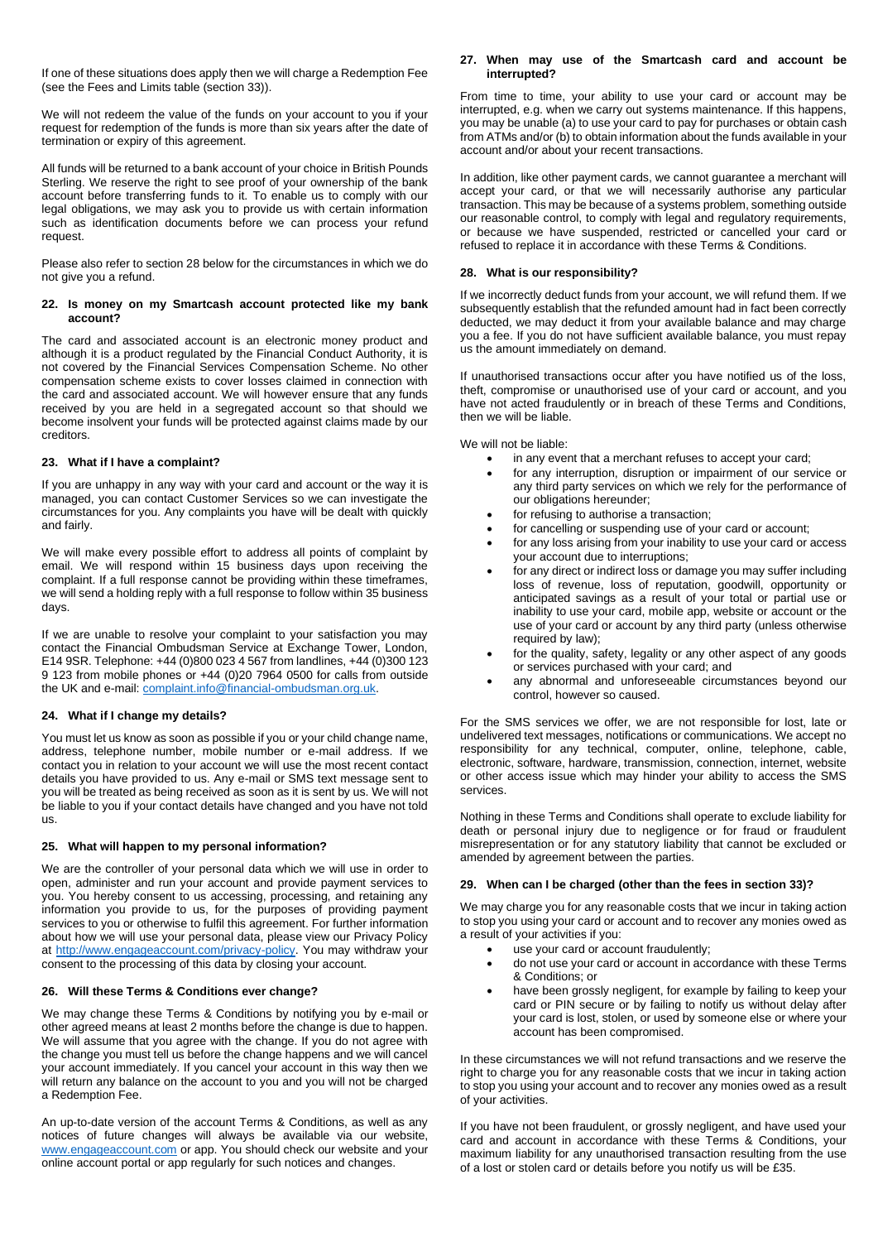If one of these situations does apply then we will charge a Redemption Fee (see the Fees and Limits table (section 33)).

We will not redeem the value of the funds on your account to you if your request for redemption of the funds is more than six years after the date of termination or expiry of this agreement.

All funds will be returned to a bank account of your choice in British Pounds Sterling. We reserve the right to see proof of your ownership of the bank account before transferring funds to it. To enable us to comply with our legal obligations, we may ask you to provide us with certain information such as identification documents before we can process your refund request.

Please also refer to section 28 below for the circumstances in which we do not give you a refund.

#### **22. Is money on my Smartcash account protected like my bank account?**

The card and associated account is an electronic money product and although it is a product regulated by the Financial Conduct Authority, it is not covered by the Financial Services Compensation Scheme. No other compensation scheme exists to cover losses claimed in connection with the card and associated account. We will however ensure that any funds received by you are held in a segregated account so that should we become insolvent your funds will be protected against claims made by our creditors.

## **23. What if I have a complaint?**

If you are unhappy in any way with your card and account or the way it is managed, you can contact Customer Services so we can investigate the circumstances for you. Any complaints you have will be dealt with quickly and fairly.

We will make every possible effort to address all points of complaint by email. We will respond within 15 business days upon receiving the complaint. If a full response cannot be providing within these timeframes, we will send a holding reply with a full response to follow within 35 business days.

If we are unable to resolve your complaint to your satisfaction you may contact the Financial Ombudsman Service at Exchange Tower, London, E14 9SR. Telephone: +44 (0)800 023 4 567 from landlines, +44 (0)300 123 9 123 from mobile phones or +44 (0)20 7964 0500 for calls from outside the UK and e-mail: [complaint.info@financial-ombudsman.org.uk.](mailto:complaint.info@financial-ombudsman.org.uk)

## **24. What if I change my details?**

You must let us know as soon as possible if you or your child change name, address, telephone number, mobile number or e-mail address. If we contact you in relation to your account we will use the most recent contact details you have provided to us. Any e-mail or SMS text message sent to you will be treated as being received as soon as it is sent by us. We will not be liable to you if your contact details have changed and you have not told us.

## **25. What will happen to my personal information?**

We are the controller of your personal data which we will use in order to open, administer and run your account and provide payment services to you. You hereby consent to us accessing, processing, and retaining any information you provide to us, for the purposes of providing payment services to you or otherwise to fulfil this agreement. For further information about how we will use your personal data, please view our Privacy Policy at [http://www.engageaccount.com/privacy-policy.](http://www.engageaccount.com/privacy-policy) You may withdraw your consent to the processing of this data by closing your account.

## **26. Will these Terms & Conditions ever change?**

We may change these Terms & Conditions by notifying you by e-mail or other agreed means at least 2 months before the change is due to happen. We will assume that you agree with the change. If you do not agree with the change you must tell us before the change happens and we will cancel your account immediately. If you cancel your account in this way then we will return any balance on the account to you and you will not be charged a Redemption Fee.

An up-to-date version of the account Terms & Conditions, as well as any notices of future changes will always be available via our website, [www.engageaccount.com](http://www.engageaccount.com/) or app. You should check our website and your online account portal or app regularly for such notices and changes.

## **27. When may use of the Smartcash card and account be interrupted?**

From time to time, your ability to use your card or account may be interrupted, e.g. when we carry out systems maintenance. If this happens, you may be unable (a) to use your card to pay for purchases or obtain cash from ATMs and/or (b) to obtain information about the funds available in your account and/or about your recent transactions.

In addition, like other payment cards, we cannot guarantee a merchant will accept your card, or that we will necessarily authorise any particular transaction. This may be because of a systems problem, something outside our reasonable control, to comply with legal and regulatory requirements, or because we have suspended, restricted or cancelled your card or refused to replace it in accordance with these Terms & Conditions.

## **28. What is our responsibility?**

If we incorrectly deduct funds from your account, we will refund them. If we subsequently establish that the refunded amount had in fact been correctly deducted, we may deduct it from your available balance and may charge you a fee. If you do not have sufficient available balance, you must repay us the amount immediately on demand.

If unauthorised transactions occur after you have notified us of the loss, theft, compromise or unauthorised use of your card or account, and you have not acted fraudulently or in breach of these Terms and Conditions, then we will be liable.

We will not be liable:

- in any event that a merchant refuses to accept your card;
- for any interruption, disruption or impairment of our service or any third party services on which we rely for the performance of our obligations hereunder;
- for refusing to authorise a transaction;
- for cancelling or suspending use of your card or account;
- for any loss arising from your inability to use your card or access your account due to interruptions;
- for any direct or indirect loss or damage you may suffer including loss of revenue, loss of reputation, goodwill, opportunity or anticipated savings as a result of your total or partial use or inability to use your card, mobile app, website or account or the use of your card or account by any third party (unless otherwise required by law);
- for the quality, safety, legality or any other aspect of any goods or services purchased with your card; and
- any abnormal and unforeseeable circumstances beyond our control, however so caused.

For the SMS services we offer, we are not responsible for lost, late or undelivered text messages, notifications or communications. We accept no responsibility for any technical, computer, online, telephone, cable, electronic, software, hardware, transmission, connection, internet, website or other access issue which may hinder your ability to access the SMS services.

Nothing in these Terms and Conditions shall operate to exclude liability for death or personal injury due to negligence or for fraud or fraudulent misrepresentation or for any statutory liability that cannot be excluded or amended by agreement between the parties.

## **29. When can I be charged (other than the fees in section 33)?**

We may charge you for any reasonable costs that we incur in taking action to stop you using your card or account and to recover any monies owed as a result of your activities if you:

- use your card or account fraudulently;
- do not use your card or account in accordance with these Terms & Conditions; or
- have been grossly negligent, for example by failing to keep your card or PIN secure or by failing to notify us without delay after your card is lost, stolen, or used by someone else or where your account has been compromised.

In these circumstances we will not refund transactions and we reserve the right to charge you for any reasonable costs that we incur in taking action to stop you using your account and to recover any monies owed as a result of your activities.

If you have not been fraudulent, or grossly negligent, and have used your card and account in accordance with these Terms & Conditions, your maximum liability for any unauthorised transaction resulting from the use of a lost or stolen card or details before you notify us will be £35.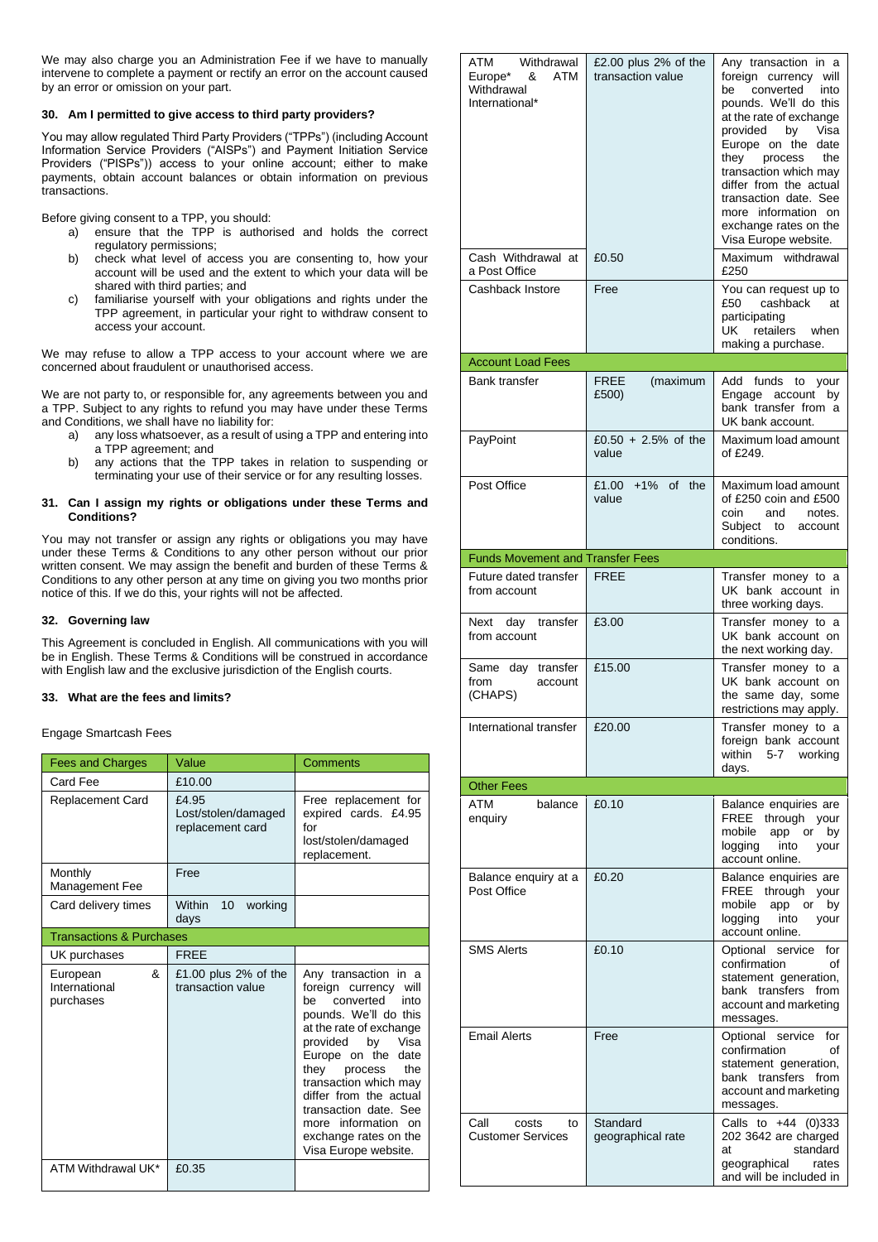We may also charge you an Administration Fee if we have to manually intervene to complete a payment or rectify an error on the account caused by an error or omission on your part.

## **30. Am I permitted to give access to third party providers?**

You may allow regulated Third Party Providers ("TPPs") (including Account Information Service Providers ("AISPs") and Payment Initiation Service Providers ("PISPs")) access to your online account; either to make payments, obtain account balances or obtain information on previous transactions.

Before giving consent to a TPP, you should:

- a) ensure that the TPP is authorised and holds the correct regulatory permissions;
- b) check what level of access you are consenting to, how your account will be used and the extent to which your data will be shared with third parties; and
- c) familiarise yourself with your obligations and rights under the TPP agreement, in particular your right to withdraw consent to access your account.

We may refuse to allow a TPP access to your account where we are concerned about fraudulent or unauthorised access.

We are not party to, or responsible for, any agreements between you and a TPP. Subject to any rights to refund you may have under these Terms and Conditions, we shall have no liability for:

- a) any loss whatsoever, as a result of using a TPP and entering into a TPP agreement; and
- b) any actions that the TPP takes in relation to suspending or terminating your use of their service or for any resulting losses.

## **31. Can I assign my rights or obligations under these Terms and Conditions?**

You may not transfer or assign any rights or obligations you may have under these Terms & Conditions to any other person without our prior written consent. We may assign the benefit and burden of these Terms & Conditions to any other person at any time on giving you two months prior notice of this. If we do this, your rights will not be affected.

# **32. Governing law**

This Agreement is concluded in English. All communications with you will be in English. These Terms & Conditions will be construed in accordance with English law and the exclusive jurisdiction of the English courts.

## **33. What are the fees and limits?**

Engage Smartcash Fees

| <b>Fees and Charges</b>                     | Value                                            | <b>Comments</b>                                                                                                                                                                                                                                                                                                                                                  |  |  |
|---------------------------------------------|--------------------------------------------------|------------------------------------------------------------------------------------------------------------------------------------------------------------------------------------------------------------------------------------------------------------------------------------------------------------------------------------------------------------------|--|--|
| Card Fee                                    | £10.00                                           |                                                                                                                                                                                                                                                                                                                                                                  |  |  |
| <b>Replacement Card</b>                     | £4.95<br>Lost/stolen/damaged<br>replacement card | Free replacement for<br>expired cards. £4.95<br>for<br>lost/stolen/damaged<br>replacement.                                                                                                                                                                                                                                                                       |  |  |
| Monthly<br><b>Management Fee</b>            | Free                                             |                                                                                                                                                                                                                                                                                                                                                                  |  |  |
| Card delivery times                         | Within<br>10 <sup>1</sup><br>working<br>days     |                                                                                                                                                                                                                                                                                                                                                                  |  |  |
| <b>Transactions &amp; Purchases</b>         |                                                  |                                                                                                                                                                                                                                                                                                                                                                  |  |  |
| UK purchases                                | <b>FREE</b>                                      |                                                                                                                                                                                                                                                                                                                                                                  |  |  |
| 8<br>European<br>International<br>purchases | £1.00 plus $2\%$ of the<br>transaction value     | Any transaction in a<br>foreign currency will<br>converted<br>into<br>be<br>pounds. We'll do this<br>at the rate of exchange<br>provided<br>by<br>Visa<br>Europe on the<br>date<br>they<br>the<br>process<br>transaction which may<br>differ from the actual<br>transaction date. See<br>information on<br>more<br>exchange rates on the<br>Visa Europe website. |  |  |
| ATM Withdrawal UK*                          | £0.35                                            |                                                                                                                                                                                                                                                                                                                                                                  |  |  |

| ATM<br>Withdrawal<br>ATM<br>Europe*<br>&<br>Withdrawal<br>International* | £2.00 plus $2\%$ of the<br>transaction value | Any transaction in a<br>foreign currency<br>will<br>be<br>converted<br>into<br>pounds. We'll do this<br>at the rate of exchange<br>provided<br>by<br>Visa<br>Europe on the date<br>they<br>process<br>the<br>transaction which may<br>differ from the actual<br>transaction date. See<br>more information on<br>exchange rates on the<br>Visa Europe website. |
|--------------------------------------------------------------------------|----------------------------------------------|---------------------------------------------------------------------------------------------------------------------------------------------------------------------------------------------------------------------------------------------------------------------------------------------------------------------------------------------------------------|
| Cash Withdrawal at<br>a Post Office                                      | £0.50                                        | Maximum withdrawal<br>£250                                                                                                                                                                                                                                                                                                                                    |
| Cashback Instore                                                         | Free                                         | You can request up to<br>cashback<br>£50<br>at<br>participating<br>UK retailers when<br>making a purchase.                                                                                                                                                                                                                                                    |
| <b>Account Load Fees</b>                                                 |                                              |                                                                                                                                                                                                                                                                                                                                                               |
| Bank transfer                                                            | <b>FREE</b><br>(maximum<br>£500)             | Add<br>funds<br>to your<br>Engage<br>account<br>by<br>bank transfer from a<br>UK bank account.                                                                                                                                                                                                                                                                |
| PayPoint                                                                 | £0.50 + 2.5% of the<br>value                 | Maximum load amount<br>of £249.                                                                                                                                                                                                                                                                                                                               |
| Post Office                                                              | £1.00<br>$+1%$<br>of<br>the<br>value         | Maximum load amount<br>of £250 coin and £500<br>coin<br>and<br>notes.<br>Subject to<br>account<br>conditions.                                                                                                                                                                                                                                                 |
| <b>Funds Movement and Transfer Fees</b>                                  |                                              |                                                                                                                                                                                                                                                                                                                                                               |
| Future dated transfer<br>from account                                    | <b>FREE</b>                                  | Transfer money to a<br>UK bank account in<br>three working days.                                                                                                                                                                                                                                                                                              |
| Next<br>day transfer<br>from account                                     | £3.00                                        | Transfer money to a<br>UK bank account on<br>the next working day.                                                                                                                                                                                                                                                                                            |
| Same day transfer<br>from<br>account<br>(CHAPS)                          | £15.00                                       | Transfer money to a<br>UK bank account on<br>the same day, some<br>restrictions may apply.                                                                                                                                                                                                                                                                    |
| International transfer                                                   | £20.00                                       | Transfer money to a<br>foreign bank account<br>within<br>5-7<br>working<br>days.                                                                                                                                                                                                                                                                              |
| <b>Other Fees</b>                                                        |                                              |                                                                                                                                                                                                                                                                                                                                                               |
| ATM<br>balance<br>enquiry                                                | £0.10                                        | Balance enquiries are<br><b>FREE</b><br>through<br>your<br>mobile<br>app or<br>by<br>logging<br>into<br>your<br>account online.                                                                                                                                                                                                                               |
| Balance enquiry at a<br>Post Office                                      | £0.20                                        | Balance enquiries are<br>FREE through<br>your<br>mobile<br>app or<br>by<br>logging<br>into<br>your<br>account online.                                                                                                                                                                                                                                         |
| <b>SMS Alerts</b>                                                        | £0.10                                        | Optional service<br>for<br>confirmation<br>οf<br>statement generation,<br>bank transfers from<br>account and marketing<br>messages.                                                                                                                                                                                                                           |
| <b>Email Alerts</b>                                                      | Free                                         | Optional service<br>for<br>confirmation<br>οf<br>statement generation,<br>bank transfers<br>from<br>account and marketing<br>messages.                                                                                                                                                                                                                        |
| Call<br>costs<br>to<br><b>Customer Services</b>                          | Standard<br>geographical rate                | Calls to $+44$ (0)333<br>202 3642 are charged<br>standard<br>at<br>geographical<br>rates<br>and will be included in                                                                                                                                                                                                                                           |